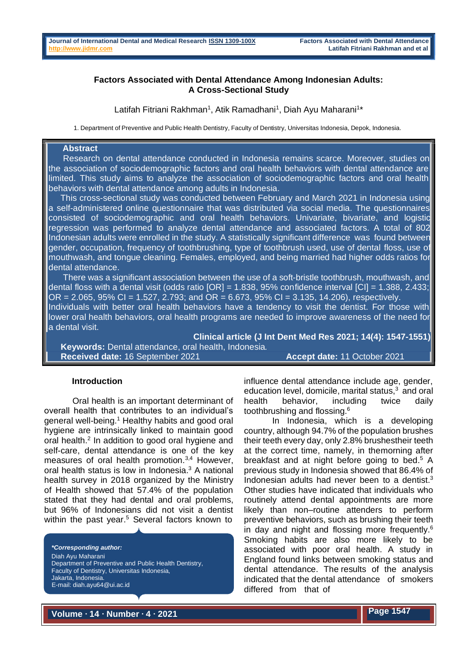### **Factors Associated with Dental Attendance Among Indonesian Adults: A Cross-Sectional Study**

Latifah Fitriani Rakhman<sup>1</sup>, Atik Ramadhani<sup>1</sup>, Diah Ayu Maharani<sup>1\*</sup>

1. Department of Preventive and Public Health Dentistry, Faculty of Dentistry, Universitas Indonesia, Depok, Indonesia.

# **Abstract**

Research on dental attendance conducted in Indonesia remains scarce. Moreover, studies on the association of sociodemographic factors and oral health behaviors with dental attendance are limited. This study aims to analyze the association of sociodemographic factors and oral health behaviors with dental attendance among adults in Indonesia.

This cross-sectional study was conducted between February and March 2021 in Indonesia using a self-administered online questionnaire that was distributed via social media. The questionnaires consisted of sociodemographic and oral health behaviors. Univariate, bivariate, and logistic regression was performed to analyze dental attendance and associated factors. A total of 802 Indonesian adults were enrolled in the study. A statistically significant difference was found between gender, occupation, frequency of toothbrushing, type of toothbrush used, use of dental floss, use of mouthwash, and tongue cleaning. Females, employed, and being married had higher odds ratios for dental attendance.

There was a significant association between the use of a soft-bristle toothbrush, mouthwash, and dental floss with a dental visit (odds ratio  $[OR] = 1.838$ , 95% confidence interval  $[CI] = 1.388$ , 2.433;  $OR = 2.065, 95\% CI = 1.527, 2.793$ ; and  $OR = 6.673, 95\% CI = 3.135, 14.206$ ), respectively. Individuals with better oral health behaviors have a tendency to visit the dentist. For those with lower oral health behaviors, oral health programs are needed to improve awareness of the need for a dental visit.

**Clinical article (J Int Dent Med Res 2021; 14(4): 1547-1551) Keywords:** Dental attendance, oral health, Indonesia.  **Received date:** 16 September 2021 **Accept date:** 11 October 2021

#### **Introduction**

Oral health is an important determinant of overall health that contributes to an individual's general well-being.<sup>1</sup> Healthy habits and good oral hygiene are intrinsically linked to maintain good oral health.<sup>2</sup> In addition to good oral hygiene and self-care, dental attendance is one of the key measures of oral health promotion.<sup>3,4</sup> However, oral health status is low in Indonesia.<sup>3</sup> A national health survey in 2018 organized by the Ministry of Health showed that 57.4% of the population stated that they had dental and oral problems, but 96% of Indonesians did not visit a dentist within the past year.<sup>5</sup> Several factors known to

*\*Corresponding author:* Diah Ayu Maharani Department of Preventive and Public Health Dentistry, Faculty of Dentistry, Universitas Indonesia, Jakarta, Indonesia. E-mail: [diah.ayu64@ui.ac.id](mailto:diah.ayu64@ui.ac.id)

influence dental attendance include age, gender, education level, domicile, marital status,<sup>3</sup> and oral health behavior, including twice daily toothbrushing and flossing.<sup>6</sup>

In Indonesia, which is a developing country, although 94.7% of the population brushes their teeth every day, only 2.8% brushestheir teeth at the correct time, namely, in themorning after breakfast and at night before going to bed.<sup>5</sup> A previous study in Indonesia showed that 86.4% of Indonesian adults had never been to a dentist. $3$ Other studies have indicated that individuals who routinely attend dental appointments are more likely than non–routine attenders to perform preventive behaviors, such as brushing their teeth in day and night and flossing more frequently.<sup>6</sup> Smoking habits are also more likely to be associated with poor oral health. A study in England found links between smoking status and dental attendance. The results of the analysis indicated that the dental attendance of smokers differed from that of

**Volume ∙ 14 ∙ Number ∙ 4 ∙ 2021 Page 1547**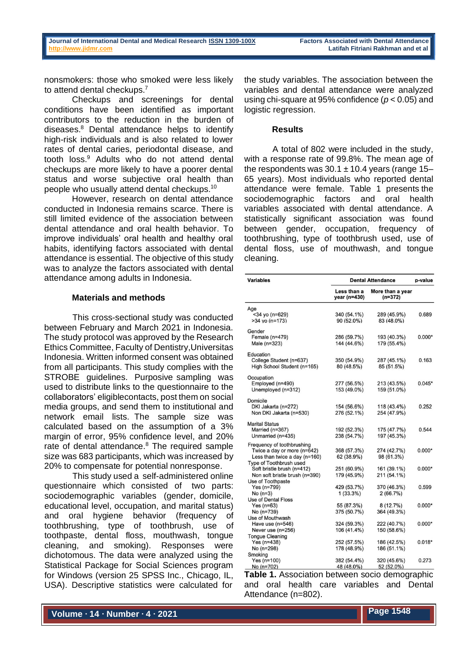nonsmokers: those who smoked were less likely to attend dental checkups.<sup>7</sup>

Checkups and screenings for dental conditions have been identified as important contributors to the reduction in the burden of diseases.<sup>8</sup> Dental attendance helps to identify high-risk individuals and is also related to lower rates of dental caries, periodontal disease, and tooth loss.<sup>9</sup> Adults who do not attend dental checkups are more likely to have a poorer dental status and worse subjective oral health than people who usually attend dental checkups.<sup>10</sup>

However, research on dental attendance conducted in Indonesia remains scarce. There is still limited evidence of the association between dental attendance and oral health behavior. To improve individuals' oral health and healthy oral habits, identifying factors associated with dental attendance is essential. The objective of this study was to analyze the factors associated with dental attendance among adults in Indonesia.

#### **Materials and methods**

This cross-sectional study was conducted between February and March 2021 in Indonesia. The study protocol was approved by the Research Ethics Committee, Faculty of Dentistry,Universitas Indonesia. Written informed consent was obtained from all participants. This study complies with the STROBE guidelines. Purposive sampling was used to distribute links to the questionnaire to the collaborators' eligiblecontacts, post them on social media groups, and send them to institutional and network email lists. The sample size was calculated based on the assumption of a 3% margin of error, 95% confidence level, and 20% rate of dental attendance.<sup>8</sup> The required sample size was 683 participants, which was increased by 20% to compensate for potential nonresponse.

This study used a self-administered online questionnaire which consisted of two parts: sociodemographic variables (gender, domicile, educational level, occupation, and marital status) and oral hygiene behavior (frequency of toothbrushing, type of toothbrush, use of toothpaste, dental floss, mouthwash, tongue cleaning, and smoking). Responses were dichotomous. The data were analyzed using the Statistical Package for Social Sciences program for Windows (version 25 SPSS Inc., Chicago, IL, USA). Descriptive statistics were calculated for

the study variables. The association between the variables and dental attendance were analyzed using chi-square at 95% confidence (*p* < 0.05) and logistic regression.

#### **Results**

A total of 802 were included in the study, with a response rate of 99.8%. The mean age of the respondents was  $30.1 \pm 10.4$  years (range 15-65 years). Most individuals who reported dental attendance were female. Table 1 presents the sociodemographic factors and oral health variables associated with dental attendance. A statistically significant association was found between gender, occupation, frequency of toothbrushing, type of toothbrush used, use of dental floss, use of mouthwash, and tongue cleaning.

| <b>Variables</b>                                          | <b>Dental Attendance</b>    |                               | p-value  |
|-----------------------------------------------------------|-----------------------------|-------------------------------|----------|
|                                                           | Less than a<br>year (n=430) | More than a year<br>$(n=372)$ |          |
| Age                                                       |                             |                               |          |
| <34 yo (n=629)<br>$>34$ vo (n=173)                        | 340 (54.1%)<br>90 (52.0%)   | 289 (45.9%)<br>83 (48.0%)     | 0.689    |
| Gender                                                    |                             |                               |          |
| Female (n=479)                                            | 286 (59.7%)                 | 193 (40.3%)                   | $0.000*$ |
| Male (n=323)                                              | 144 (44.6%)                 | 179 (55.4%)                   |          |
| Education                                                 |                             |                               |          |
| College Student (n=637)                                   | 350 (54.9%)                 | 287 (45.1%)                   | 0.163    |
| High School Student (n=165)                               | 80 (48.5%)                  | 85 (51.5%)                    |          |
| Occupation                                                |                             |                               |          |
| Employed (n=490)                                          | 277 (56.5%)                 | 213 (43.5%)                   | $0.045*$ |
| Unemployed (n=312)                                        | 153 (49.0%)                 | 159 (51.0%)                   |          |
| Domicile                                                  |                             |                               |          |
| DKI Jakarta (n=272)                                       | 154 (56.6%)                 | 118 (43.4%)                   | 0.252    |
| Non DKI Jakarta (n=530)                                   | 276 (52.1%)                 | 254 (47.9%)                   |          |
| <b>Marital Status</b>                                     |                             |                               |          |
| Married (n=367)                                           | 192 (52.3%)                 | 175 (47.7%)                   | 0.544    |
| Unmarried (n=435)                                         | 238 (54.7%)                 | 197 (45.3%)                   |          |
| Frequency of toothbrushing<br>Twice a day or more (n=642) | 368 (57.3%)                 | 274 (42.7%)                   | $0.000*$ |
| Less than twice a day $(n=160)$                           | 62 (38.9%)                  | 98 (61.3%)                    |          |
| Type of Toothbrush used                                   |                             |                               |          |
| Soft bristle brush (n=412)                                | 251 (60.9%)                 | 161 (39.1%)                   | $0.000*$ |
| Non soft bristle brush (n=390)                            | 179 (45.9%)                 | 211 (54.1%)                   |          |
| Use of Toothpaste                                         |                             |                               |          |
| Yes (n=799)                                               | 429 (53.7%)                 | 370 (46.3%)                   | 0.599    |
| No $(n=3)$                                                | 1(33.3%)                    | 2(66.7%)                      |          |
| <b>Use of Dental Floss</b>                                |                             |                               |          |
| Yes $(n=63)$                                              | 55 (87.3%)                  | 8(12.7%)                      | $0.000*$ |
| No (n=739)                                                | 375 (50.7%)                 | 364 (49.3%)                   |          |
| Use of Mouthwash                                          |                             |                               |          |
| Have use (n=546)                                          | 324 (59.3%)                 | 222 (40.7%)                   | $0.000*$ |
| Never use (n=256)                                         | 106 (41.4%)                 | 150 (58.6%)                   |          |
| <b>Tonque Cleaning</b>                                    |                             |                               |          |
| Yes $(n=438)$                                             | 252 (57.5%)                 | 186 (42.5%)                   | $0.018*$ |
| No (n=298)                                                | 178 (48.9%)                 | 186 (51.1%)                   |          |
| Smoking                                                   |                             |                               |          |
| Yes (n=100)<br>$No (n=702)$                               | 382 (54.4%)<br>48 (48.0%)   | 320 (45.6%)<br>$52(52.0\%)$   | 0.273    |

**Table 1.** Association between socio demographic and oral health care variables and Dental Attendance (n=802).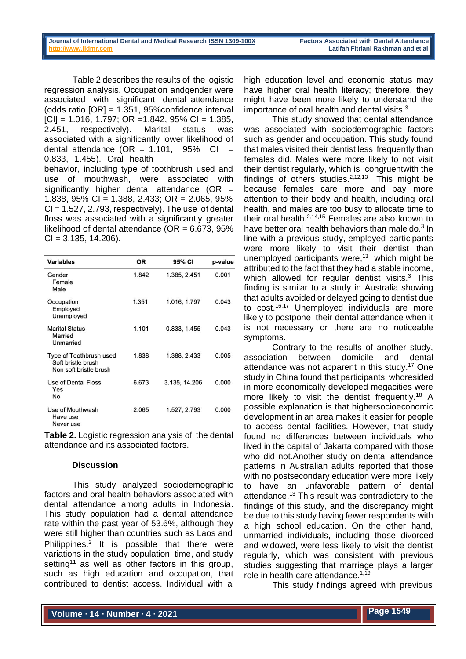Table 2 describes the results of the logistic regression analysis. Occupation andgender were associated with significant dental attendance (odds ratio [OR] = 1.351, 95%confidence interval  $|C| = 1.016$ , 1.797; OR = 1.842, 95% CI = 1.385, 2.451, respectively). Marital status was associated with a significantly lower likelihood of dental attendance (OR =  $1.101$ , 95% CI = 0.833, 1.455). Oral health

behavior, including type of toothbrush used and use of mouthwash, were associated with significantly higher dental attendance  $(OR =$ 1.838, 95% CI = 1.388, 2.433; OR = 2.065, 95%  $CI = 1.527, 2.793$ , respectively). The use of dental floss was associated with a significantly greater likelihood of dental attendance ( $OR = 6.673$ , 95%  $CI = 3.135, 14.206$ .

| Variables                                                               | OR    | 95% CI        | p-value |
|-------------------------------------------------------------------------|-------|---------------|---------|
| Gender<br>Female<br>Male                                                | 1.842 | 1.385, 2.451  | 0.001   |
| Occupation<br>Employed<br>Unemployed                                    | 1.351 | 1.016, 1.797  | 0.043   |
| <b>Marital Status</b><br>Married<br>Unmarried                           | 1.101 | 0.833, 1.455  | 0.043   |
| Type of Toothbrush used<br>Soft bristle brush<br>Non soft bristle brush | 1.838 | 1.388, 2.433  | 0.005   |
| Use of Dental Floss<br>Yes<br>No                                        | 6.673 | 3.135, 14.206 | 0.000   |
| Use of Mouthwash<br>Have use<br>Never use                               | 2.065 | 1.527, 2.793  | 0.000   |

**Table 2.** Logistic regression analysis of the dental attendance and its associated factors.

## **Discussion**

This study analyzed sociodemographic factors and oral health behaviors associated with dental attendance among adults in Indonesia. This study population had a dental attendance rate within the past year of 53.6%, although they were still higher than countries such as Laos and Philippines.<sup>2</sup> It is possible that there were variations in the study population, time, and study setting<sup>11</sup> as well as other factors in this group, such as high education and occupation, that contributed to dentist access. Individual with a

high education level and economic status may have higher oral health literacy; therefore, they might have been more likely to understand the importance of oral health and dental visits.<sup>3</sup>

This study showed that dental attendance was associated with sociodemographic factors such as gender and occupation. This study found that males visited their dentist less frequently than females did. Males were more likely to not visit their dentist regularly, which is congruentwith the findings of others studies. $2,12,13$  This might be because females care more and pay more attention to their body and health, including oral health, and males are too busy to allocate time to their oral health. $2,14,15$  Females are also known to have better oral health behaviors than male do. $3$  In line with a previous study, employed participants were more likely to visit their dentist than unemployed participants were, $13$  which might be attributed to the fact that they had a stable income, which allowed for regular dentist visits. $3$  This finding is similar to a study in Australia showing that adults avoided or delayed going to dentist due to cost.16,17 Unemployed individuals are more likely to postpone their dental attendance when it is not necessary or there are no noticeable symptoms.

Contrary to the results of another study, association between domicile and dental attendance was not apparent in this study.<sup>17</sup> One study in China found that participants whoresided in more economically developed megacities were more likely to visit the dentist frequently.<sup>18</sup> A possible explanation is that highersocioeconomic development in an area makes it easier for people to access dental facilities. However, that study found no differences between individuals who lived in the capital of Jakarta compared with those who did not.Another study on dental attendance patterns in Australian adults reported that those with no postsecondary education were more likely to have an unfavorable pattern of dental attendance.<sup>13</sup> This result was contradictory to the findings of this study, and the discrepancy might be due to this study having fewer respondents with a high school education. On the other hand, unmarried individuals, including those divorced and widowed, were less likely to visit the dentist regularly, which was consistent with previous studies suggesting that marriage plays a larger role in health care attendance.<sup>1,19</sup>

This study findings agreed with previous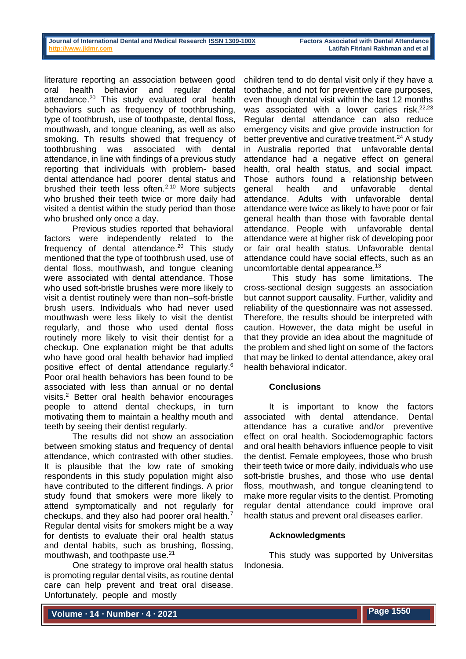literature reporting an association between good oral health behavior and regular dental attendance.<sup>20</sup> This study evaluated oral health behaviors such as frequency of toothbrushing, type of toothbrush, use of toothpaste, dental floss, mouthwash, and tongue cleaning, as well as also smoking. Th results showed that frequency of toothbrushing was associated with dental attendance, in line with findings of a previous study reporting that individuals with problem- based dental attendance had poorer dental status and brushed their teeth less often. $2,10$  More subjects who brushed their teeth twice or more daily had visited a dentist within the study period than those who brushed only once a day.

Previous studies reported that behavioral factors were independently related to the frequency of dental attendance.<sup>20</sup> This study mentioned that the type of toothbrush used, use of dental floss, mouthwash, and tongue cleaning were associated with dental attendance. Those who used soft-bristle brushes were more likely to visit a dentist routinely were than non–soft-bristle brush users. Individuals who had never used mouthwash were less likely to visit the dentist regularly, and those who used dental floss routinely more likely to visit their dentist for a checkup. One explanation might be that adults who have good oral health behavior had implied positive effect of dental attendance regularly.<sup>6</sup> Poor oral health behaviors has been found to be associated with less than annual or no dental visits.<sup>2</sup> Better oral health behavior encourages people to attend dental checkups, in turn motivating them to maintain a healthy mouth and teeth by seeing their dentist regularly.

The results did not show an association between smoking status and frequency of dental attendance, which contrasted with other studies. It is plausible that the low rate of smoking respondents in this study population might also have contributed to the different findings. A prior study found that smokers were more likely to attend symptomatically and not regularly for checkups, and they also had poorer oral health.<sup>7</sup> Regular dental visits for smokers might be a way for dentists to evaluate their oral health status and dental habits, such as brushing, flossing, mouthwash, and toothpaste use.<sup>21</sup>

One strategy to improve oral health status is promoting regular dental visits, as routine dental care can help prevent and treat oral disease. Unfortunately, people and mostly

children tend to do dental visit only if they have a toothache, and not for preventive care purposes, even though dental visit within the last 12 months was associated with a lower caries risk.<sup>22,23</sup> Regular dental attendance can also reduce emergency visits and give provide instruction for better preventive and curative treatment. $24$  A study in Australia reported that unfavorable dental attendance had a negative effect on general health, oral health status, and social impact. Those authors found a relationship between general health and unfavorable dental attendance. Adults with unfavorable dental attendance were twice as likely to have poor or fair general health than those with favorable dental attendance. People with unfavorable dental attendance were at higher risk of developing poor or fair oral health status. Unfavorable dental attendance could have social effects, such as an uncomfortable dental appearance.<sup>13</sup>

This study has some limitations. The cross-sectional design suggests an association but cannot support causality. Further, validity and reliability of the questionnaire was not assessed. Therefore, the results should be interpreted with caution. However, the data might be useful in that they provide an idea about the magnitude of the problem and shed light on some of the factors that may be linked to dental attendance, akey oral health behavioral indicator.

## **Conclusions**

It is important to know the factors associated with dental attendance. Dental attendance has a curative and/or preventive effect on oral health. Sociodemographic factors and oral health behaviors influence people to visit the dentist. Female employees, those who brush their teeth twice or more daily, individuals who use soft-bristle brushes, and those who use dental floss, mouthwash, and tongue cleaningtend to make more regular visits to the dentist. Promoting regular dental attendance could improve oral health status and prevent oral diseases earlier.

## **Acknowledgments**

This study was supported by Universitas Indonesia.